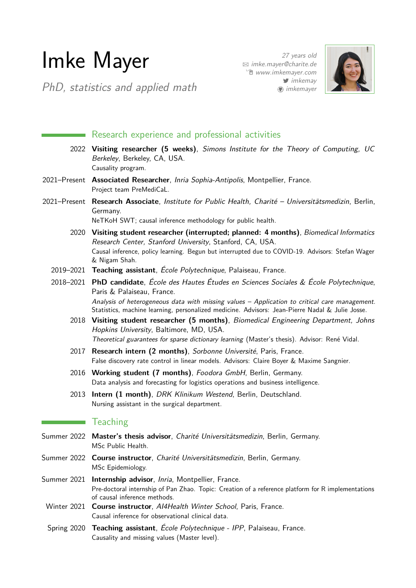# Imke Mayer

PhD, statistics and applied math

27 years old B [imke.mayer@charite.de](mailto:imke.mayer@charite.de) Í [www.imkemayer.com](http://www.imkemayer.com)  $\blacktriangleright$  [imkemay](http://www.twitter.com/imkemay) **(a)** [imkemayer](http://www.github.com/imkemayer)



# Research experience and professional activities

- 2022 **Visiting researcher (5 weeks)**, Simons Institute for the Theory of Computing, UC Berkeley, Berkeley, CA, USA. Causality program.
- 2021–Present **Associated Researcher**, Inria Sophia-Antipolis, Montpellier, France. Project team PreMediCaL.
- 2021–Present **Research Associate**, Institute for Public Health, Charité Universitätsmedizin, Berlin, Germany.

NeTKoH SWT; causal inference methodology for public health.

- 2020 **Visiting student researcher (interrupted; planned: 4 months)**, Biomedical Informatics Research Center, Stanford University, Stanford, CA, USA. Causal inference, policy learning. Begun but interrupted due to COVID-19. Advisors: Stefan Wager & Nigam Shah.
- 2019–2021 **Teaching assistant**, École Polytechnique, Palaiseau, France.
- 2018–2021 **PhD candidate**, École des Hautes Études en Sciences Sociales & École Polytechnique, Paris & Palaiseau, France. Analysis of heterogeneous data with missing values – Application to critical care management. Statistics, machine learning, personalized medicine. Advisors: Jean-Pierre Nadal & Julie Josse.
	- 2018 **Visiting student researcher (5 months)**, Biomedical Engineering Department, Johns Hopkins University, Baltimore, MD, USA. Theoretical guarantees for sparse dictionary learning (Master's thesis). Advisor: René Vidal.
	- 2017 **Research intern (2 months)**, Sorbonne Université, Paris, France. False discovery rate control in linear models. Advisors: Claire Boyer & Maxime Sangnier.
	- 2016 **Working student (7 months)**, Foodora GmbH, Berlin, Germany. Data analysis and forecasting for logistics operations and business intelligence.
	- 2013 **Intern (1 month)**, DRK Klinikum Westend, Berlin, Deutschland. Nursing assistant in the surgical department.

## **Teaching**

- Summer 2022 **Master's thesis advisor**, Charité Universitätsmedizin, Berlin, Germany. MSc Public Health.
- Summer 2022 **Course instructor**, Charité Universitätsmedizin, Berlin, Germany. MSc Epidemiology.
- Summer 2021 **Internship advisor**, Inria, Montpellier, France. Pre-doctoral internship of Pan Zhao. Topic: Creation of a reference platform for R implementations of causal inference methods.
	- Winter 2021 **Course instructor**, AI4Health Winter School, Paris, France. Causal inference for observational clinical data.
	- Spring 2020 **Teaching assistant**, École Polytechnique IPP, Palaiseau, France. Causality and missing values (Master level).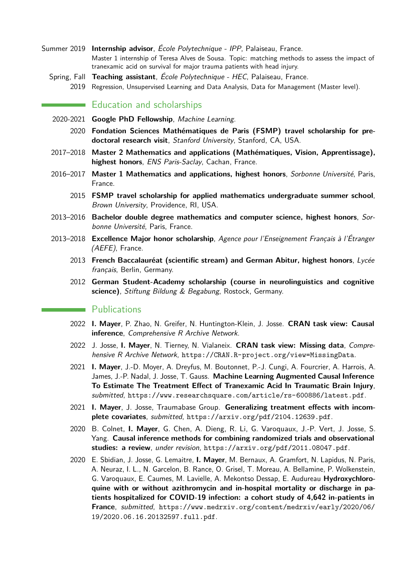- Summer 2019 **Internship advisor**, École Polytechnique IPP, Palaiseau, France. Master 1 internship of Teresa Alves de Sousa. Topic: matching methods to assess the impact of tranexamic acid on survival for major trauma patients with head injury.
	- Spring, Fall **Teaching assistant**, École Polytechnique HEC, Palaiseau, France. 2019 Regression, Unsupervised Learning and Data Analysis, Data for Management (Master level).

## **Education and scholarships**

- 2020-2021 **Google PhD Fellowship**, Machine Learning.
	- 2020 **Fondation Sciences Mathématiques de Paris (FSMP) travel scholarship for predoctoral research visit**, Stanford University, Stanford, CA, USA.
- 2017–2018 **Master 2 Mathematics and applications (Mathématiques, Vision, Apprentissage), highest honors**, ENS Paris-Saclay, Cachan, France.
- 2016–2017 **Master 1 Mathematics and applications, highest honors**, Sorbonne Université, Paris, France.
	- 2015 **FSMP travel scholarship for applied mathematics undergraduate summer school**, Brown University, Providence, RI, USA.
- 2013–2016 **Bachelor double degree mathematics and computer science, highest honors**, Sorbonne Université, Paris, France.
- 2013–2018 **Excellence Major honor scholarship**, Agence pour l'Enseignement Français à l'Étranger (AEFE), France.
	- 2013 **French Baccalauréat (scientific stream) and German Abitur, highest honors**, Lycée français, Berlin, Germany.
	- 2012 **German Student-Academy scholarship (course in neurolinguistics and cognitive science)**, Stiftung Bildung & Begabung, Rostock, Germany.

#### **Publications**

- 2022 **I. Mayer**, P. Zhao, N. Greifer, N. Huntington-Klein, J. Josse. **CRAN task view: Causal inference**, Comprehensive R Archive Network.
- 2022 J. Josse, **I. Mayer**, N. Tierney, N. Vialaneix. **CRAN task view: Missing data**, Comprehensive R Archive Network, <https://CRAN.R-project.org/view=MissingData>.
- 2021 **I. Mayer**, J.-D. Moyer, A. Dreyfus, M. Boutonnet, P.-J. Cungi, A. Fourcrier, A. Harrois, A. James, J.-P. Nadal, J. Josse, T. Gauss. **Machine Learning Augmented Causal Inference To Estimate The Treatment Effect of Tranexamic Acid In Traumatic Brain Injury**, submitted, <https://www.researchsquare.com/article/rs-600886/latest.pdf>.
- 2021 **I. Mayer**, J. Josse, Traumabase Group. **Generalizing treatment effects with incomplete covariates**, submitted, <https://arxiv.org/pdf/2104.12639.pdf>.
- 2020 B. Colnet, **I. Mayer**, G. Chen, A. Dieng, R. Li, G. Varoquaux, J.-P. Vert, J. Josse, S. Yang. **Causal inference methods for combining randomized trials and observational studies: a review**, under revision, <https://arxiv.org/pdf/2011.08047.pdf>.
- 2020 E. Sbidian, J. Josse, G. Lemaitre, **I. Mayer**, M. Bernaux, A. Gramfort, N. Lapidus, N. Paris, A. Neuraz, I. L., N. Garcelon, B. Rance, O. Grisel, T. Moreau, A. Bellamine, P. Wolkenstein, G. Varoquaux, E. Caumes, M. Lavielle, A. Mekontso Dessap, E. Audureau **Hydroxychloroquine with or without azithromycin and in-hospital mortality or discharge in patients hospitalized for COVID-19 infection: a cohort study of 4,642 in-patients in France**, submitted, [https://www.medrxiv.org/content/medrxiv/early/2020/06/](https://www.medrxiv.org/content/medrxiv/early/2020/06/19/2020.06.16.20132597.full.pdf) [19/2020.06.16.20132597.full.pdf](https://www.medrxiv.org/content/medrxiv/early/2020/06/19/2020.06.16.20132597.full.pdf).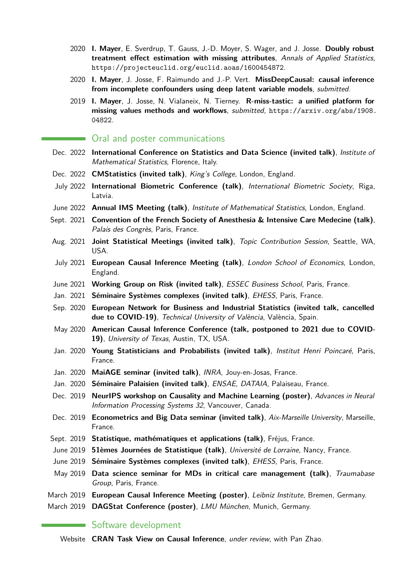- 2020 **I. Mayer**, E. Sverdrup, T. Gauss, J.-D. Moyer, S. Wager, and J. Josse. **Doubly robust treatment effect estimation with missing attributes**, Annals of Applied Statistics, <https://projecteuclid.org/euclid.aoas/1600454872>.
- 2020 **I. Mayer**, J. Josse, F. Raimundo and J.-P. Vert. **MissDeepCausal: causal inference from incomplete confounders using deep latent variable models**, submitted.
- 2019 **I. Mayer**, J. Josse, N. Vialaneix, N. Tierney. **R-miss-tastic: a unified platform for missing values methods and workflows**, submitted, [https://arxiv.org/abs/1908.](https://arxiv.org/abs/1908.04822) [04822](https://arxiv.org/abs/1908.04822).

#### Oral and poster communications

- Dec. 2022 **International Conference on Statistics and Data Science (invited talk)**, Institute of Mathematical Statistics, Florence, Italy.
- Dec. 2022 **CMStatistics (invited talk)**, King's College, London, England.
- July 2022 **International Biometric Conference (talk)**, International Biometric Society, Riga, Latvia.
- June 2022 **Annual IMS Meeting (talk)**, Institute of Mathematical Statistics, London, England.
- Sept. 2021 **Convention of the French Society of Anesthesia & Intensive Care Medecine (talk)**, Palais des Congrès, Paris, France.
- Aug. 2021 **Joint Statistical Meetings (invited talk)**, Topic Contribution Session, Seattle, WA, USA.
- July 2021 **European Causal Inference Meeting (talk)**, London School of Economics, London, England.
- June 2021 **Working Group on Risk (invited talk)**, ESSEC Business School, Paris, France.
- Jan. 2021 **Séminaire Systèmes complexes (invited talk)**, EHESS, Paris, France.
- Sep. 2020 **European Network for Business and Industrial Statistics (invited talk, cancelled due to COVID-19)**, Technical University of València, València, Spain.
- May 2020 **American Causal Inference Conference (talk, postponed to 2021 due to COVID-19)**, University of Texas, Austin, TX, USA.
- Jan. 2020 **Young Statisticians and Probabilists (invited talk)**, Institut Henri Poincaré, Paris, France.
- Jan. 2020 **MaiAGE seminar (invited talk)**, INRA, Jouy-en-Josas, France.
- Jan. 2020 **Séminaire Palaisien (invited talk)**, ENSAE, DATAIA, Palaiseau, France.
- Dec. 2019 **NeurIPS workshop on Causality and Machine Learning (poster)**, Advances in Neural Information Processing Systems 32, Vancouver, Canada.
- Dec. 2019 **Econometrics and Big Data seminar (invited talk)**, Aix-Marseille University, Marseille, France.
- Sept. 2019 **Statistique, mathématiques et applications (talk)**, Fréjus, France.
- June 2019 **51èmes Journées de Statistique (talk)**, Université de Lorraine, Nancy, France.
- June 2019 **Séminaire Systèmes complexes (invited talk)**, EHESS, Paris, France.
- May 2019 **Data science seminar for MDs in critical care management (talk)**, Traumabase Group, Paris, France.
- March 2019 **European Causal Inference Meeting (poster)**, Leibniz Institute, Bremen, Germany.
- March 2019 **DAGStat Conference (poster)**, LMU München, Munich, Germany.

# Software development

Website **CRAN Task View on Causal Inference**, under review, with Pan Zhao.